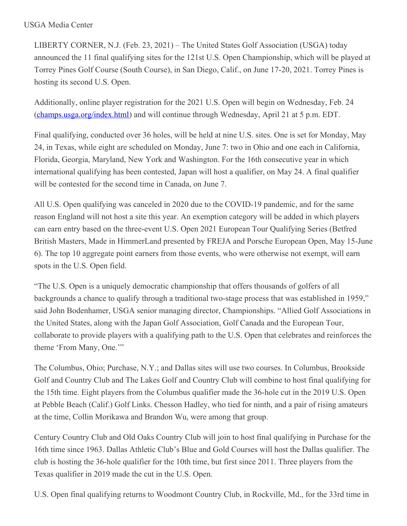## USGA Media Center

LIBERTY CORNER, N.J. (Feb. 23, 2021) – The United States Golf Association (USGA) today announced the 11 final qualifying sites for the 121st U.S. Open Championship, which will be played at Torrey Pines Golf Course (South Course), in San Diego, Calif., on June 17-20, 2021. Torrey Pines is hosting its second U.S. Open.

Additionally, online player registration for the 2021 U.S. Open will begin on Wednesday, Feb. 24 [\(champs.usga.org/index.html](https://nam12.safelinks.protection.outlook.com/?url=https%3A%2F%2Fchamps.usga.org%2Findex.html&data=04%7C01%7CJGeske%40USGA.org%7C0b26a4f2da2040b886f108d8d7ff1ea2%7C17abf7083a064391bdbd06808d1b9f81%7C0%7C0%7C637496838037288870%7CUnknown%7CTWFpbGZsb3d8eyJWIjoiMC4wLjAwMDAiLCJQIjoiV2luMzIiLCJBTiI6Ik1haWwiLCJXVCI6Mn0%3D%7C1000&sdata=f0iIWcsJLYmKIGfQd7aIU%2FgZzoo7lv%2BylirPSSdxNL4%3D&reserved=0)) and will continue through Wednesday, April 21 at 5 p.m. EDT.

Final qualifying, conducted over 36 holes, will be held at nine U.S. sites. One is set for Monday, May 24, in Texas, while eight are scheduled on Monday, June 7: two in Ohio and one each in California, Florida, Georgia, Maryland, New York and Washington. For the 16th consecutive year in which international qualifying has been contested, Japan will host a qualifier, on May 24. A final qualifier will be contested for the second time in Canada, on June 7.

All U.S. Open qualifying was canceled in 2020 due to the COVID-19 pandemic, and for the same reason England will not host a site this year. An exemption category will be added in which players can earn entry based on the three-event U.S. Open 2021 European Tour Qualifying Series (Betfred British Masters, Made in HimmerLand presented by FREJA and Porsche European Open, May 15-June 6). The top 10 aggregate point earners from those events, who were otherwise not exempt, will earn spots in the U.S. Open field.

"The U.S. Open is a uniquely democratic championship that offers thousands of golfers of all backgrounds a chance to qualify through a traditional two-stage process that was established in 1959," said John Bodenhamer, USGA senior managing director, Championships. "Allied Golf Associations in the United States, along with the Japan Golf Association, Golf Canada and the European Tour, collaborate to provide players with a qualifying path to the U.S. Open that celebrates and reinforces the theme 'From Many, One.'"

The Columbus, Ohio; Purchase, N.Y.; and Dallas sites will use two courses. In Columbus, Brookside Golf and Country Club and The Lakes Golf and Country Club will combine to host final qualifying for the 15th time. Eight players from the Columbus qualifier made the 36-hole cut in the 2019 U.S. Open at Pebble Beach (Calif.) Golf Links. Chesson Hadley, who tied for ninth, and a pair of rising amateurs at the time, Collin Morikawa and Brandon Wu, were among that group.

Century Country Club and Old Oaks Country Club will join to host final qualifying in Purchase for the 16th time since 1963. Dallas Athletic Club's Blue and Gold Courses will host the Dallas qualifier. The club is hosting the 36-hole qualifier for the 10th time, but first since 2011. Three players from the Texas qualifier in 2019 made the cut in the U.S. Open.

U.S. Open final qualifying returns to Woodmont Country Club, in Rockville, Md., for the 33rd time in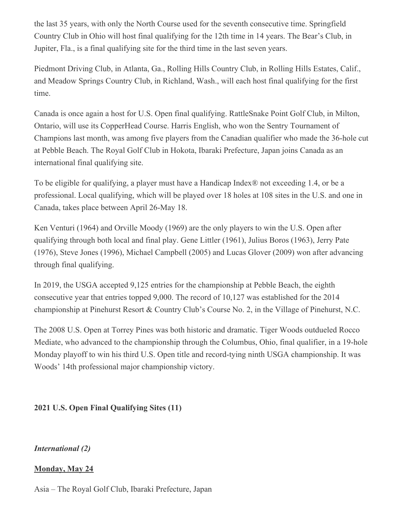the last 35 years, with only the North Course used for the seventh consecutive time. Springfield Country Club in Ohio will host final qualifying for the 12th time in 14 years. The Bear's Club, in Jupiter, Fla., is a final qualifying site for the third time in the last seven years.

Piedmont Driving Club, in Atlanta, Ga., Rolling Hills Country Club, in Rolling Hills Estates, Calif., and Meadow Springs Country Club, in Richland, Wash., will each host final qualifying for the first time.

Canada is once again a host for U.S. Open final qualifying. RattleSnake Point Golf Club, in Milton, Ontario, will use its CopperHead Course. Harris English, who won the Sentry Tournament of Champions last month, was among five players from the Canadian qualifier who made the 36-hole cut at Pebble Beach. The Royal Golf Club in Hokota, Ibaraki Prefecture, Japan joins Canada as an international final qualifying site.

To be eligible for qualifying, a player must have a Handicap Index® not exceeding 1.4, or be a professional. Local qualifying, which will be played over 18 holes at 108 sites in the U.S. and one in Canada, takes place between April 26-May 18.

Ken Venturi (1964) and Orville Moody (1969) are the only players to win the U.S. Open after qualifying through both local and final play. Gene Littler (1961), Julius Boros (1963), Jerry Pate (1976), Steve Jones (1996), Michael Campbell (2005) and Lucas Glover (2009) won after advancing through final qualifying.

In 2019, the USGA accepted 9,125 entries for the championship at Pebble Beach, the eighth consecutive year that entries topped 9,000. The record of 10,127 was established for the 2014 championship at Pinehurst Resort & Country Club's Course No. 2, in the Village of Pinehurst, N.C.

The 2008 U.S. Open at Torrey Pines was both historic and dramatic. Tiger Woods outdueled Rocco Mediate, who advanced to the championship through the Columbus, Ohio, final qualifier, in a 19-hole Monday playoff to win his third U.S. Open title and record-tying ninth USGA championship. It was Woods' 14th professional major championship victory.

# **2021 U.S. Open Final Qualifying Sites (11)**

*International (2)*

# **Monday, May 24**

Asia – The Royal Golf Club, Ibaraki Prefecture, Japan